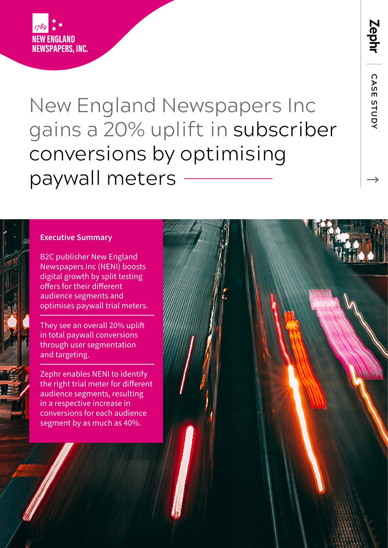

New England Newspapers Inc gains a 20% uplift in subscriber conversions by optimising paywall meters

#### **Executive Summary**

B2C publisher New England Newspapers Inc (NENI) boosts digital growth by split testing offers for their different audience segments and optimises paywall trial meters.

They see an overall 20% uplift in total paywall conversions through user segmentation and targeting.

Zephr enables NENI to identify the right trial meter for different audience segments, resulting in a respective increase in conversions for each audience segment by as much as 40%.



 **CASE STUDY**

CASE STUDY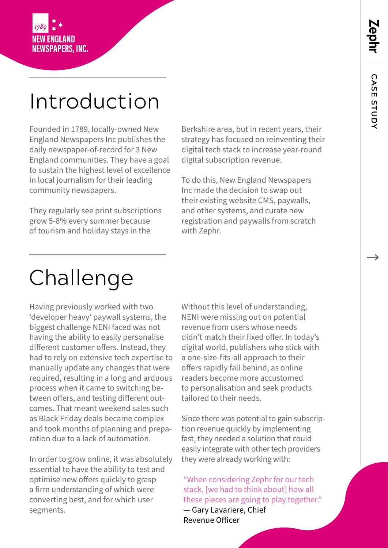

# Introduction

Founded in 1789, locally-owned New England Newspapers Inc publishes the daily newspaper-of-record for 3 New England communities. They have a goal to sustain the highest level of excellence in local journalism for their leading community newspapers.

They regularly see print subscriptions grow 5-8% every summer because of tourism and holiday stays in the

Berkshire area, but in recent years, their strategy has focused on reinventing their digital tech stack to increase year-round digital subscription revenue.

To do this, New England Newspapers Inc made the decision to swap out their existing website CMS, paywalls, and other systems, and curate new registration and paywalls from scratch with Zephr.

## Challenge

Having previously worked with two 'developer heavy' paywall systems, the biggest challenge NENI faced was not having the ability to easily personalise different customer offers. Instead, they had to rely on extensive tech expertise to manually update any changes that were required, resulting in a long and arduous process when it came to switching between offers, and testing different outcomes. That meant weekend sales such as Black Friday deals became complex and took months of planning and preparation due to a lack of automation.

In order to grow online, it was absolutely essential to have the ability to test and optimise new offers quickly to grasp a firm understanding of which were converting best, and for which user segments.

Without this level of understanding, NENI were missing out on potential revenue from users whose needs didn't match their fixed offer. In today's digital world, publishers who stick with a one-size-fits-all approach to their offers rapidly fall behind, as online readers become more accustomed to personalisation and seek products tailored to their needs.

Since there was potential to gain subscription revenue quickly by implementing fast, they needed a solution that could easily integrate with other tech providers they were already working with:

"When considering Zephr for our tech stack, [we had to think about] how all these pieces are going to play together." — Gary Lavariere, Chief Revenue Officer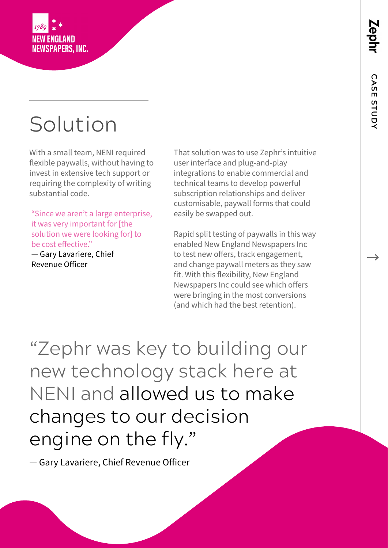**Lephi** 



### Solution

With a small team, NENI required flexible paywalls, without having to invest in extensive tech support or requiring the complexity of writing substantial code.

"Since we aren't a large enterprise, it was very important for [the solution we were looking for] to be cost effective."

— Gary Lavariere, Chief Revenue Officer

That solution was to use Zephr's intuitive user interface and plug-and-play integrations to enable commercial and technical teams to develop powerful subscription relationships and deliver customisable, paywall forms that could easily be swapped out.

Rapid split testing of paywalls in this way enabled New England Newspapers Inc to test new offers, track engagement, and change paywall meters as they saw fit. With this flexibility, New England Newspapers Inc could see which offers were bringing in the most conversions (and which had the best retention).

"Zephr was key to building our new technology stack here at NENI and allowed us to make changes to our decision engine on the fly."

— Gary Lavariere, Chief Revenue Officer